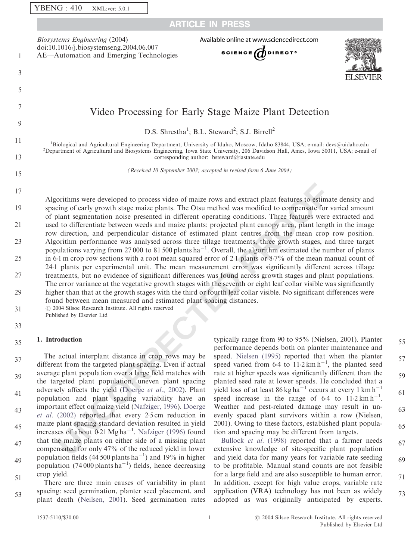Biosystems Engineering (2004) doi:10.1016/j.biosystemseng.2004.06.007 AE—Automation and Emerging Technologies Available online at www.sciencedirect.com

SCIENCE UDIRECT<sup>®</sup>



# Video Processing for Early Stage Maize Plant Detection

D.S. Shrestha<sup>1</sup>; B.L. Steward<sup>2</sup>; S.J. Birrell<sup>2</sup>

<sup>1</sup>Biological and Agricultural Engineering Department, University of Idaho, Moscow, Idaho 83844, USA; e-mail: devs@uidaho.edu<br><sup>2</sup>Department of Agricultural and Biosystems Engineering, Joye State University, 206 Devideon Ha <sup>2</sup>Department of Agricultural and Biosystems Engineering, Iowa State University, 206 Davidson Hall, Ames, Iowa 50011, USA; e-mail of corresponding author: bsteward@iastate.edu

(Received 10 September 2003; accepted in revised form 6 June 2004)

orithms were developed to process video of maize rows and extract plant features to estimating of early growth stage maize plants. The Otsu method was modified to compensate for data the different objects. The columeratio Algorithms were developed to process video of maize rows and extract plant features to estimate density and spacing of early growth stage maize plants. The Otsu method was modified to compensate for varied amount of plant segmentation noise presented in different operating conditions. Three features were extracted and used to differentiate between weeds and maize plants: projected plant canopy area, plant length in the image row direction, and perpendicular distance of estimated plant centres from the mean crop row position. Algorithm performance was analysed across three tillage treatments, three growth stages, and three target populations varying from 27 000 to 81 500 plants ha<sup>-1</sup>. Overall, the algorithm estimated the number of plants in 6-1 m crop row sections with a root mean squared error of 2-1 plants or 8-7% of the mean manual count of 24-1 plants per experimental unit. The mean measurement error was significantly different across tillage treatments, but no evidence of significant differences was found across growth stages and plant populations. The error variance at the vegetative growth stages with the seventh or eight leaf collar visible was significantly higher than that at the growth stages with the third or fourth leaf collar visible. No significant differences were found between mean measured and estimated plant spacing distances. 19 21 23 25 27 29

 $\odot$  2004 Silsoe Research Institute. All rights reserved 31

Published by Elsevier Ltd

### 33

1

3

5

7

9

11

13

15

17

#### 1. Introduction 35

The actual interplant distance in crop rows may be different from the targeted plant spacing. Even if actual average plant population over a large field matches with the targeted plant population, uneven plant spacing adversely affects the yield (Doerge et al., 2002). Plant population and plant spacing variability have an important effect on maize yield (Nafziger, 1996). Doerge et al[. \(2002\)](#page-10-0) reported that every 2-5 cm reduction in maize plant spacing standard deviation resulted in yield increases of about  $0.21$  Mg ha<sup>-1</sup>. Nafziger (1996) found that the maize plants on either side of a missing plant compensated for only 47% of the reduced yield in lower population fields (44 500 plants ha<sup>-1</sup>) and 19% in higher population (74 000 plants  $ha^{-1}$ ) fields, hence decreasing crop yield. 37 39 41 43 45 47 49 51

There are three main causes of variability in plant spacing: seed germination, planter seed placement, and plant death ([Neilsen, 2001\)](#page-10-0). Seed germination rates 53

typically range from 90 to 95% (Nielsen, 2001). Planter performance depends both on planter maintenance and speed. Nielsen (1995) reported that when the planter speed varied from  $6.4$  to  $11.2 \text{ km h}^{-1}$ , the planted seed rate at higher speeds was significantly different than the planted seed rate at lower speeds. He concluded that a yield loss of at least  $86 \text{ kg ha}^{-1}$  occurs at every 1 km h<sup>-1</sup> speed increase in the range of  $6.4$  to  $11.2 \text{ km h}^{-1}$ . Weather and pest-related damage may result in unevenly spaced plant survivors within a row (Nielsen, 2001). Owing to these factors, established plant population and spacing may be different from targets. 55 57 59 61 63 65

Bullock et al. (1998) reported that a farmer needs extensive knowledge of site-specific plant population and yield data for many years for variable rate seeding to be profitable. Manual stand counts are not feasible for a large field and are also susceptible to human error. In addition, except for high value crops, variable rate application (VRA) technology has not been as widely adopted as was originally anticipated by experts. 67 69 71 73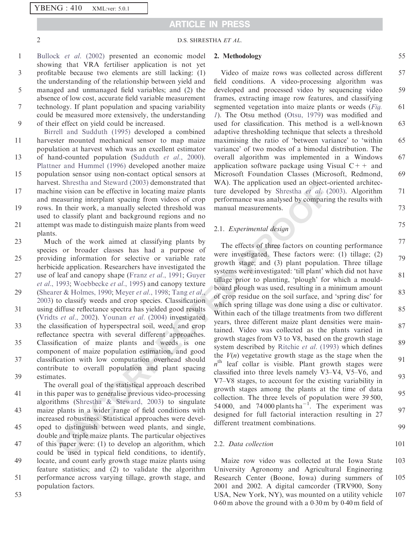2 D.S. SHRESTHA ET AL.

1

3

5

7

9

53

Bullock et al[. \(2002\)](#page-10-0) presented an economic model showing that VRA fertiliser application is not yet profitable because two elements are still lacking: (1) the understanding of the relationship between yield and managed and unmanaged field variables; and (2) the absence of low cost, accurate field variable measurement technology. If plant population and spacing variability could be measured more extensively, the understanding of their effect on yield could be increased.

[Birrell and Sudduth \(1995\)](#page-10-0) developed a combined harvester mounted mechanical sensor to map maize population at harvest which was an excellent estimator of hand-counted population [\(Sudduth](#page-10-0) et al., 2000). [Plattner and Hummel \(1996\)](#page-10-0) developed another maize population sensor using non-contact optical sensors at harvest. [Shrestha and Steward \(2003\)](#page-10-0) demonstrated that machine vision can be effective in locating maize plants and measuring interplant spacing from videos of crop rows. In their work, a manually selected threshold was used to classify plant and background regions and no attempt was made to distinguish maize plants from weed plants. 11 13 15 17 19 21

Much of the work aimed at classifying plants by species or broader classes has had a purpose of providing information for selective or variable rate herbicide application. Researchers have investigated the use of leaf and canopy shape (Franz et al., 1991; Guyer et al[., 1993;](#page-10-0) Woebbecke et al., 1995) and canopy texture ([Shearer](#page-10-0) & Holmes, 1990; Meyer et al., 1998; Tang et al., [2003](#page-10-0)) to classify weeds and crop species. Classification using diffuse reflectance spectra has yielded good results (Vridts et al., 2002). Younan et al. (2004) investigated the classification of hyperspectral soil, weed, and crop reflectance spectra with several different approaches. Classification of maize plants and weeds is one component of maize population estimation, and good classification with low computation overhead should contribute to overall population and plant spacing estimates. 23 25 27 29 31 33 35 37 39

The overall goal of the statistical approach described in this paper was to generalise previous video-processing algorithms (Shrestha & Steward, 2003) to singulate maize plants in a wider range of field conditions with increased robustness. Statistical approaches were developed to distinguish between weed plants, and single, double and triple maize plants. The particular objectives of this paper were: (1) to develop an algorithm, which could be used in typical field conditions, to identify, locate, and count early growth stage maize plants using feature statistics; and (2) to validate the algorithm performance across varying tillage, growth stage, and population factors. 41 43 45 47 49 51

### 2. Methodology

Video of maize rows was collected across different field conditions. A video-processing algorithm was developed and processed video by sequencing video frames, extracting image row features, and classifying segmented vegetation into maize plants or weeds ([Fig.](#page-2-0) [1](#page-2-0)). The Otsu method ([Otsu, 1979\)](#page-10-0) was modified and used for classification. This method is a well-known adaptive thresholding technique that selects a threshold maximising the ratio of 'between variance' to 'within variance' of two modes of a bimodal distribution. The overall algorithm was implemented in a Windows application software package using Visual  $C++$  and Microsoft Foundation Classes (Microsoft, Redmond, WA). The application used an object-oriented architecture developed by Shrestha et al. (2003). Algorithm performance was analysed by comparing the results with manual measurements. 57 59 61 63 65 67 69 71 73

# 2.1. Experimental design

**L**. Striestha and Stewart (2003) demonstrated that **w**A<sub>D</sub>. In a spin cannot and objection is the signal of the signal of the signal of the signal of the signal of the signal of the signal of the signal of the signal of The effects of three factors on counting performance were investigated. These factors were: (1) tillage; (2) growth stage; and (3) plant population. Three tillage systems were investigated: 'till plant' which did not have tillage prior to planting, 'plough' for which a mouldboard plough was used, resulting in a minimum amount of crop residue on the soil surface, and 'spring disc' for which spring tillage was done using a disc or cultivator. Within each of the tillage treatments from two different years, three different maize plant densities were maintained. Video was collected as the plants varied in growth stages from V3 to V8, based on the growth stage system described by Ritchie et al. (1993) which defines the  $V(n)$  vegetative growth stage as the stage when the  $n<sup>th</sup>$  leaf collar is visible. Plant growth stages were classified into three levels namely V3–V4, V5–V6, and V7–V8 stages, to account for the existing variability in growth stages among the plants at the time of data collection. The three levels of population were 39 500, 54 000, and 74 000 plants ha<sup>-1</sup>. The experiment was designed for full factorial interaction resulting in 27 different treatment combinations. 77 79 81 83 85 87 89 91 93 95 97 99

#### 2.2. Data collection 101

Maize row video was collected at the Iowa State University Agronomy and Agricultural Engineering Research Center (Boone, Iowa) during summers of 2001 and 2002. A digital camcorder (TRV900, Sony USA, New York, NY), was mounted on a utility vehicle 0-60 m above the ground with a 0-30 m by 0-40 m field of 103 105 107

## 55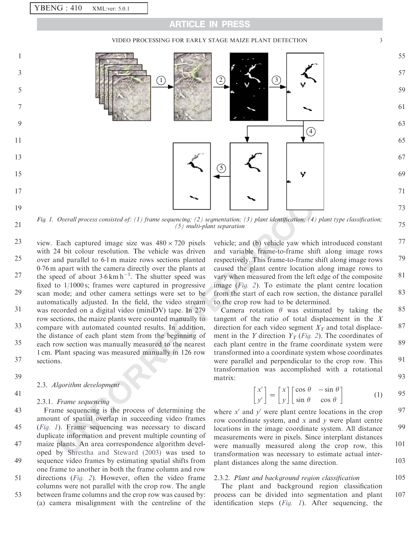### VIDEO PROCESSING FOR EARLY STAGE MAIZE PLANT DETECTION 3

<span id="page-2-0"></span>

Fig. 1. Overall process consisted of: (1) frame sequencing; (2) segmentation; (3) plant identification; (4) plant type classification; (5) multi-plant separation

Overall process consisted of: (1) frame sequencing: (2) segmentation; (3) plant identification; (4) plant<br>
Each captured image size was 480 × 720 pixels vebicle; and (b) which is the set of the column resolution. The vehi view. Each captured image size was  $480 \times 720$  pixels with 24 bit colour resolution. The vehicle was driven over and parallel to 6-1 m maize rows sections planted 0-76 m apart with the camera directly over the plants at the speed of about  $3.6 \text{ km h}^{-1}$ . The shutter speed was fixed to 1/1000 s; frames were captured in progressive scan mode; and other camera settings were set to be automatically adjusted. In the field, the video stream was recorded on a digital video (miniDV) tape. In 279 row sections, the maize plants were counted manually to compare with automated counted results. In addition, the distance of each plant stem from the beginning of each row section was manually measured to the nearest 1 cm. Plant spacing was measured manually in 126 row sections. 23 25 27 29 31 33 35 37

### 39

41

21

## 2.3. Algorithm development

## 2.3.1. Frame sequencing

Frame sequencing is the process of determining the amount of spatial overlap in succeeding video frames (Fig. 1). Frame sequencing was necessary to discard duplicate information and prevent multiple counting of maize plants. An area correspondence algorithm developed by Shrestha and Steward (2003) was used to sequence video frames by estimating spatial shifts from one frame to another in both the frame column and row directions ([Fig. 2](#page-3-0)). However, often the video frame columns were not parallel with the crop row. The angle between frame columns and the crop row was caused by: (a) camera misalignment with the centreline of the 43 45 47 49 51 53

vehicle; and (b) vehicle yaw which introduced constant and variable frame-to-frame shift along image rows respectively. This frame-to-frame shift along image rows caused the plant centre location along image rows to vary when measured from the left edge of the composite image (Fig. 2). To estimate the plant centre location from the start of each row section, the distance parallel to the crop row had to be determined. 77 79 81 83

Camera rotation  $\theta$  was estimated by taking the tangent of the ratio of total displacement in the X direction for each video segment  $X_T$  and total displacement in the Y direction  $Y_T$  (Fig. 2). The coordinates of each plant centre in the frame coordinate system were transformed into a coordinate system whose coordinates were parallel and perpendicular to the crop row. This transformation was accomplished with a rotational matrix: 85 87 89 91 93

$$
\begin{bmatrix} x' \\ y' \end{bmatrix} = \begin{bmatrix} x \\ y \end{bmatrix} \begin{bmatrix} \cos \theta & -\sin \theta \\ \sin \theta & \cos \theta \end{bmatrix}
$$
 (1) 95

where  $x'$  and  $y'$  were plant centre locations in the crop row coordinate system, and x and y were plant centre locations in the image coordinate system. All distance measurements were in pixels. Since interplant distances were manually measured along the crop row, this transformation was necessary to estimate actual interplant distances along the same direction. 97 99 101 103

## 2.3.2. Plant and background region classification

The plant and background region classification process can be divided into segmentation and plant identification steps  $(Fiq, 1)$ . After sequencing, the 107

105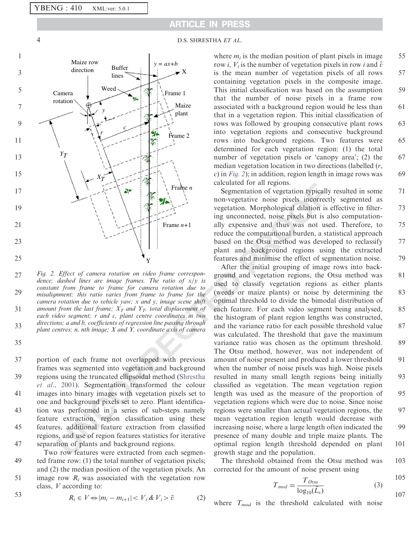## 4 D.S. SHRESTHA ET AL.

<span id="page-3-0"></span>

27 29 31 33 Fig. 2. Effect of camera rotation on video frame correspondence; dashed lines are image frames. The ratio of  $x/y$  is constant from frame to frame for camera rotation due to misalignment; this ratio varies from frame to frame for the camera rotation due to vehicle yaw; x and y, image scene shift amount from the last frame;  $X_T$  and  $Y_T$ , total displacement of each video segment; r and c, plant centre coordinates in two directions; a and b, coefficients of regression line passing through plant centres;  $n$ , nth image;  $X$  and  $Y$ , coordinate axis of camera

35

53

portion of each frame not overlapped with previous frames was segmented into vegetation and background regions using the truncated ellipsoidal method (Shrestha et al[., 2001\)](#page-10-0). Segmentation transformed the colour images into binary images with vegetation pixels set to one and background pixels set to zero. Plant identification was performed in a series of sub-steps namely feature extraction, region classification using these features, additional feature extraction from classified regions, and use of region features statistics for iterative separation of plants and background regions. 37 39 41 43 45 47

Two row features were extracted from each segmented frame row: (1) the total number of vegetation pixels; and (2) the median position of the vegetation pixels. An image row  $R_i$  was associated with the vegetation row class, V according to: 49 51

$$
R_i \in V \Leftrightarrow |m_i - m_{i+1}| < V_i \& V_i > \bar{v} \tag{2}
$$

where  $m_i$  is the median position of plant pixels in image row *i*,  $V_i$  is the number of vegetation pixels in row *i* and  $\bar{v}$ is the mean number of vegetation pixels of all rows containing vegetation pixels in the composite image. This initial classification was based on the assumption that the number of noise pixels in a frame row associated with a background region would be less than that in a vegetation region. This initial classification of rows was followed by grouping consecutive plant rows into vegetation regions and consecutive background rows into background regions. Two features were determined for each vegetation region: (1) the total number of vegetation pixels or 'canopy area'; (2) the median vegetation location in two directions (labelled (r,  $c$ ) in *Fig.* 2); in addition, region length in image rows was calculated for all regions. 55 57 59 61 63 65 67 69

Segmentation of vegetation typically resulted in some non-vegetative noise pixels incorrectly segmented as vegetation. Morphological dilation is effective in filtering unconnected, noise pixels but is also computationally expensive and thus was not used. Therefore, to reduce the computational burden, a statistical approach based on the Otsu method was developed to reclassify plant and background regions using the extracted features and minimise the effect of segmentation noise. 71 73 75 77 79

Frache of all proposition of equalitied of all proposition of the momentum of vegetation (yielally<br>non-vegetation. Morphological diation is<br>non-vegetation. We<br>relate the computational burst in the base mode from the set of After the initial grouping of image rows into background and vegetation regions, the Otsu method was used to classify vegetation regions as either plants (weeds or maize plants) or noise by determining the optimal threshold to divide the bimodal distribution of each feature. For each video segment being analysed, the histogram of plant region lengths was constructed, and the variance ratio for each possible threshold value was calculated. The threshold that gave the maximum variance ratio was chosen as the optimum threshold. The Otsu method, however, was not independent of amount of noise present and produced a lower threshold when the number of noise pixels was high. Noise pixels resulted in many small length regions being initially classified as vegetation. The mean vegetation region length was used as the measure of the proportion of vegetation regions which were due to noise. Since noise regions were smaller than actual vegetation regions, the mean vegetation region length would decrease with increasing noise, where a large length often indicated the presence of many double and triple maize plants. The optimal region length threshold depended on plant growth stage and the population. 81 83 85 87 89 91 93 95 97 99 101

> The threshold obtained from the Otsu method was corrected for the amount of noise present using 103

$$
T_{mod} = \frac{T_{Otsu}}{\log_{10}(\bar{L}_v)}
$$
 (3) 105

where  $T_{mod}$  is the threshold calculated with noise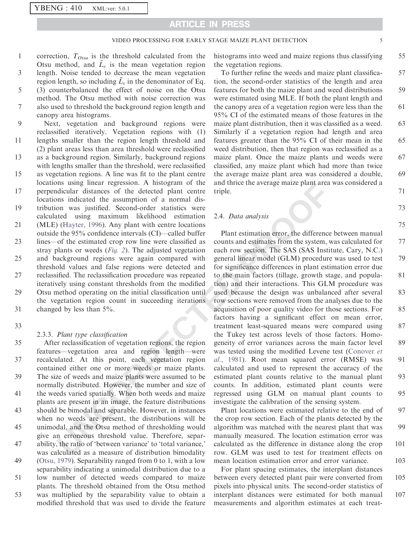# VIDEO PROCESSING FOR EARLY STAGE MAIZE PLANT DETECTION 5

correction,  $T_{Otsu}$  is the threshold calculated from the Otsu method, and  $\overline{L}_v$  is the mean vegetation region length. Noise tended to decrease the mean vegetation region length, so including  $\bar{L}_v$  in the denominator of Eq. (3) counterbalanced the effect of noise on the Otsu method. The Otsu method with noise correction was also used to threshold the background region length and 1 3 5 7

canopy area histograms. Next, vegetation and background regions were reclassified iteratively. Vegetation regions with (1) lengths smaller than the region length threshold and (2) plant areas less than area threshold were reclassified as a background region. Similarly, background regions with lengths smaller than the threshold, were reclassified as vegetation regions. A line was fit to the plant centre locations using linear regression. A histogram of the perpendicular distances of the detected plant centre locations indicated the assumption of a normal distribution was justified. Second-order statistics were calculated using maximum likelihood estimation (MLE) (Hayter, 1996). Any plant with centre locations outside the 95% confidence intervals (CI)—called buffer lines—of the estimated crop row line were classified as stray plants or weeds (Fig. 2). The adjusted vegetation and background regions were again compared with threshold values and false regions were detected and reclassified. The reclassification procedure was repeated iteratively using constant thresholds from the modified Otsu method operating on the initial classification until the vegetation region count in succeeding iterations changed by less than 5%. 9 11 13 15 17 19 21 23 25 27 29 31

33

## 2.3.3. Plant type classification

After reclassification of vegetation regions, the region features—vegetation area and region length—were recalculated. At this point, each vegetation region contained either one or more weeds or maize plants. The size of weeds and maize plants were assumed to be normally distributed. However, the number and size of the weeds varied spatially. When both weeds and maize plants are present in an image, the feature distributions should be bimodal and separable. However, in instances when no weeds are present, the distributions will be unimodal, and the Otsu method of thresholding would give an erroneous threshold value. Therefore, separability, the ratio of 'between variance' to 'total variance,' was calculated as a measure of distribution bimodality ([Otsu, 1979](#page-10-0)). Separability ranged from 0 to 1, with a low separability indicating a unimodal distribution due to a low number of detected weeds compared to maize plants. The threshold obtained from the Otsu method was multiplied by the separability value to obtain a modified threshold that was used to divide the feature 35 37 39 41 43 45 47 49 51 53

histograms into weed and maize regions thus classifying the vegetation regions. 55

To further refine the weeds and maize plant classification, the second-order statistics of the length and area features for both the maize plant and weed distributions were estimated using MLE. If both the plant length and the canopy area of a vegetation region were less than the 95% CI of the estimated means of those features in the maize plant distribution, then it was classified as a weed. Similarly if a vegetation region had length and area features greater than the 95% CI of their mean in the weed distribution, then that region was reclassified as a maize plant. Once the maize plants and weeds were classified, any maize plant which had more than twice the average maize plant area was considered a double, and thrice the average maize plant area was considered a triple. 57 59 61 63 65 67 69 71

73

75

## 2.4. Data analysis

Instructure repression. A hastogram of the and three the average mainte propagation<br>or distinct distances of the detected plant centre triple.<br>
On was justified. Second-order statistics were<br>
on was justified. Second-orde Plant estimation error, the difference between manual counts and estimates from the system, was calculated for each row section. The SAS (SAS Institute, Cary, N.C.) general linear model (GLM) procedure was used to test for significance differences in plant estimation error due to the main factors (tillage, growth stage, and population) and their interactions. This GLM procedure was used because the design was unbalanced after several row sections were removed from the analyses due to the acquisition of poor quality video for those sections. For factors having a significant effect on mean error, treatment least-squared means were compared using the Tukey test across levels of those factors. Homogeneity of error variances across the main factor level was tested using the modified Levene test ([Conover](#page-10-0) et al., 1981). Root mean squared error (RMSE) was calculated and used to represent the accuracy of the estimated plant counts relative to the manual plant counts. In addition, estimated plant counts were regressed using GLM on manual plant counts to investigate the calibration of the sensing system. 77 79 81 83 85 87 89 91 93 95

Plant locations were estimated relative to the end of the crop row section. Each of the plants detected by the algorithm was matched with the nearest plant that was manually measured. The location estimation error was calculated as the difference in distance along the crop row. GLM was used to test for treatment effects on mean location estimation error and error variance. 97 99 101 103

For plant spacing estimates, the interplant distances between every detected plant pair were converted from pixels into physical units. The second-order statistics of interplant distances were estimated for both manual measurements and algorithm estimates at each treat-105 107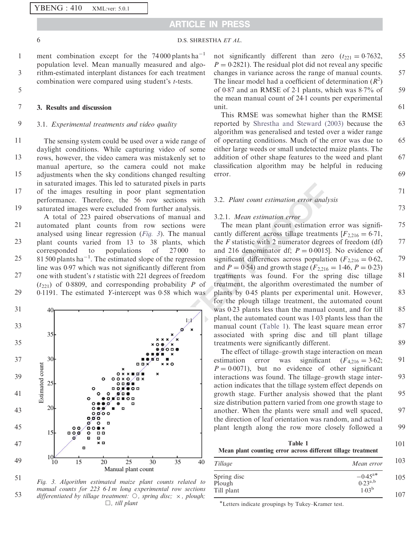1

3

5

7

53

ment combination except for the  $74\,000$  plants ha<sup>-1</sup> population level. Mean manually measured and algorithm-estimated interplant distances for each treatment combination were compared using student's t-tests.

### 3. Results and discussion

#### 3.1. Experimental treatments and video quality 9

The sensing system could be used over a wide range of daylight conditions. While capturing video of some rows, however, the video camera was mistakenly set to manual aperture, so the camera could not make adjustments when the sky conditions changed resulting in saturated images. This led to saturated pixels in parts of the images resulting in poor plant segmentation performance. Therefore, the 56 row sections with saturated images were excluded from further analysis. 11 13 15 17 19

A total of 223 paired observations of manual and automated plant counts from row sections were analysed using linear regression (Fig. 3). The manual plant counts varied from 13 to 38 plants, which corresponded to populations of 27 000 to 81 500 plants ha<sup>-1</sup>. The estimated slope of the regression line was 0-97 which was not significantly different from one with student's t statistic with 221 degrees of freedom  $(t_{221})$  of 0.8809, and corresponding probability P of 0-1191. The estimated Y-intercept was 0-58 which was 21 23 25 27 29



Fig. 3. Algorithm estimated maize plant counts related to manual counts for 223 6-1 m long experimental row sections differentiated by tillage treatment:  $\circ$ , spring disc;  $\times$ , plough;  $\Box$ , till plant

not significantly different than zero  $(t_{221} = 0.7632)$ ,  $P = 0.2821$ ). The residual plot did not reveal any specific changes in variance across the range of manual counts. The linear model had a coefficient of determination  $(R^2)$ of 0-87 and an RMSE of 2-1 plants, which was 8-7% of the mean manual count of 24-1 counts per experimental unit. 55 57 59 61

This RMSE was somewhat higher than the RMSE reported by [Shrestha and Steward \(2003\)](#page-10-0) because the algorithm was generalised and tested over a wider range of operating conditions. Much of the error was due to either large weeds or small undetected maize plants. The addition of other shape features to the weed and plant classification algorithm may be helpful in reducing error.

71

73

63

65

67

69

### 3.2. Plant count estimation error analysis

### 3.2.1. Mean estimation error

The mean plant count estimation error was significantly different across tillage treatments  $[F_{2,216} = 6.71,$ the  $F$  statistic with 2 numerator degrees of freedom (df) and 216 denominator df;  $P = 0.0015$ . No evidence of significant differences across population ( $F_{2,216} = 0.62$ , and  $P = 0.54$ ) and growth stage ( $F_{2,216} = 1.46, P = 0.23$ ) treatments was found. For the spring disc tillage treatment, the algorithm overestimated the number of plants by 0-45 plants per experimental unit. However, for the plough tillage treatment, the automated count was 0-23 plants less than the manual count, and for till plant, the automated count was 1-03 plants less than the manual count (Table 1). The least square mean error associated with spring disc and till plant tillage treatments were significantly different. 75 77 79 81 83 85 87 89

The effect of tillage–growth stage interaction on mean estimation error was significant  $(F_{4,216} = 3.62;$  $P = 0.0071$ , but no evidence of other significant interactions was found. The tillage–growth stage interaction indicates that the tillage system effect depends on growth stage. Further analysis showed that the plant size distribution pattern varied from one growth stage to another. When the plants were small and well spaced, the direction of leaf orientation was random, and actual plant length along the row more closely followed a 91 93 95 97 99

| Table 1                                                      |  |
|--------------------------------------------------------------|--|
| Mean plant counting error across different tillage treatment |  |

| Tillage               | Mean error                                 |
|-----------------------|--------------------------------------------|
| Spring disc<br>Plough | $-0.45^{\text{a}}*$<br>0.23 <sup>a,b</sup> |
| Till plant            | $1.03^{b}$                                 |

Letters indicate groupings by Tukey–Kramer test.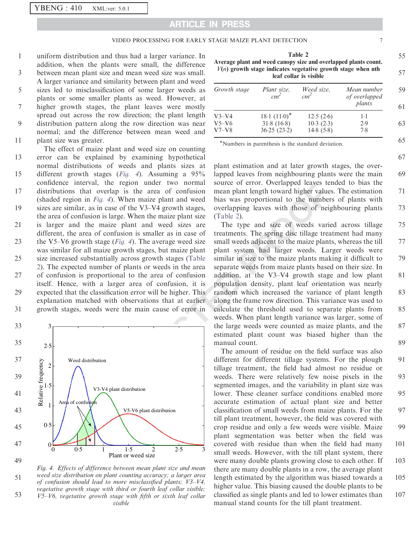## VIDEO PROCESSING FOR EARLY STAGE MAIZE PLANT DETECTION 7

uniform distribution and thus had a larger variance. In addition, when the plants were small, the difference 1

between mean plant size and mean weed size was small. A larger variance and similarity between plant and weed sizes led to misclassification of some larger weeds as plants or some smaller plants as weed. However, at higher growth stages, the plant leaves were mostly spread out across the row direction; the plant length distribution pattern along the row direction was near normal; and the difference between mean weed and plant size was greater. 3 5 7 9 11

The effect of maize plant and weed size on counting error can be explained by examining hypothetical normal distributions of weeds and plants sizes at different growth stages (*Fig. 4*). Assuming a  $95\%$ confidence interval, the region under two normal distributions that overlap is the area of confusion (shaded region in Fig. 4). When maize plant and weed sizes are similar, as in case of the V3–V4 growth stages, the area of confusion is large. When the maize plant size is larger and the maize plant and weed sizes are different, the area of confusion is smaller as in case of the V5–V6 growth stage  $(Fiq. 4)$ . The average weed size was similar for all maize growth stages, but maize plant size increased substantially across growth stages (Table 2). The expected number of plants or weeds in the area of confusion is proportional to the area of confusion itself. Hence, with a larger area of confusion, it is expected that the classification error will be higher. This explanation matched with observations that at earlier growth stages, weeds were the main cause of error in 13 15 17 19 21 23 25 27 29 31



Fig. 4. Effects of difference between mean plant size and mean weed size distribution on plant counting accuracy; a larger area of confusion should lead to more misclassified plants; V3–V4, vegetative growth stage with third or fourth leaf collar visible; V5–V6, vegetative growth stage with fifth or sixth leaf collar visible

51

53

Table 2 Average plant and weed canopy size and overlapped plants count.  $V(n)$  growth stage indicates vegetative growth stage when nth leaf collar is visible

| Growth stage                                                                                                                                                                                                                   | Plant size,<br>$cm^2$ | Weed size.<br>cm <sup>2</sup> | Mean number<br>of overlapped<br>plants |
|--------------------------------------------------------------------------------------------------------------------------------------------------------------------------------------------------------------------------------|-----------------------|-------------------------------|----------------------------------------|
| $V3-V4$                                                                                                                                                                                                                        | $18.1 (11.0)^*$       | 12.5(2.6)                     | $1-1$                                  |
| $V5-V6$                                                                                                                                                                                                                        | 31.8(16.8)            | 10.3(2.3)                     | 2.9                                    |
| $V7-V8$                                                                                                                                                                                                                        | 36.25(23.2)           | 14.8(5.8)                     | 7.8                                    |
| ada a contracto de la contracto de la contracto de la contracto de la contracto de la contracto de la contracto de la contracto de la contracto de la contracto de la contracto de la contracto de la contracto de la contract |                       |                               |                                        |

Numbers in parenthesis is the standard deviation.

67

69

71

73

55

57

plant estimation and at later growth stages, the overlapped leaves from neighbouring plants were the main source of error. Overlapped leaves tended to bias the mean plant length toward higher values. The estimation bias was proportional to the numbers of plants with overlapping leaves with those of neighbouring plants (Table 2).

The type and size of weeds varied across tillage treatments. The spring disc tillage treatment had many small weeds adjacent to the maize plants, whereas the till plant system had larger weeds. Larger weeds were similar in size to the maize plants making it difficult to separate weeds from maize plants based on their size. In addition, at the V3–V4 growth stage and low plant population density, plant leaf orientation was nearly random which increased the variance of plant length along the frame row direction. This variance was used to calculate the threshold used to separate plants from weeds. When plant length variance was larger, some of the large weeds were counted as maize plants, and the estimated plant count was biased higher than the manual count. 75 77 79 81 83 85 87 89

The amount of residue on the field surface was also different for different tillage systems. For the plough tillage treatment, the field had almost no residue or weeds. There were relatively few noise pixels in the segmented images, and the variability in plant size was lower. These cleaner surface conditions enabled more accurate estimation of actual plant size and better classification of small weeds from maize plants. For the till plant treatment, however, the field was covered with crop residue and only a few weeds were visible. Maize plant segmentation was better when the field was covered with residue than when the field had many small weeds. However, with the till plant system, there were many double plants growing close to each other. If there are many double plants in a row, the average plant length estimated by the algorithm was biased towards a higher value. This biasing caused the double plants to be classified as single plants and led to lower estimates than manual stand counts for the till plant treatment. 91 93 95 97 99 101 103 105 107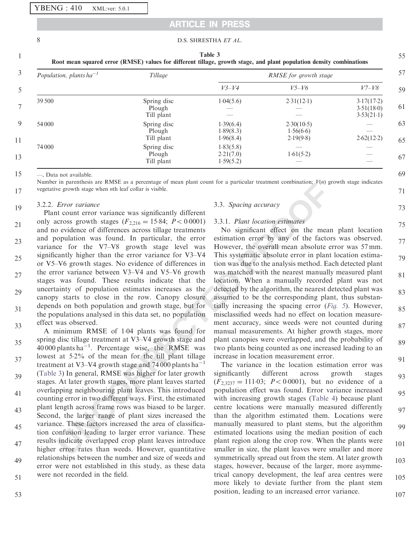## 8 D.S. SHRESTHA ET AL.

| Population, plants $ha^{-1}$ |                                     | Tillage                             |                                      | RMSE for growth stage                  |
|------------------------------|-------------------------------------|-------------------------------------|--------------------------------------|----------------------------------------|
|                              |                                     | $V3 - V4$                           | $V5-V6$                              | $V7 - V8$                              |
| 39 500                       | Spring disc<br>Plough<br>Till plant | 1.04(5.6)                           | 2.31(12.1)                           | 3.17(17.2)<br>3.51(18.0)<br>3.53(21.1) |
| 54 000                       | Spring disc<br>Plough<br>Till plant | 1.39(6.4)<br>1.89(8.3)<br>1.96(8.4) | 2.30(10.5)<br>1.56(6.6)<br>2.19(9.8) | 2.62(12.2)                             |
| 74 000                       | Spring disc<br>Plough<br>Till plant | 1.83(5.8)<br>2.21(7.0)<br>1.59(5.2) | 1.61(5.2)                            |                                        |

Table 3

—, Data not available.

15

17 Number in parenthesis are RMSE as a percentage of mean plant count for a particular treatment combination;  $V(n)$  growth stage indicates vegetative growth stage when nth leaf collar is visible.

#### 3.2.2. Error variance 19

Plant count error variance was significantly different only across growth stages  $(F_{2,216} = 15.84; P < 0.0001)$ and no evidence of differences across tillage treatments and population was found. In particular, the error variance for the V7–V8 growth stage level was significantly higher than the error variance for V3–V4 or V5–V6 growth stages. No evidence of differences in the error variance between V3–V4 and V5–V6 growth stages was found. These results indicate that the uncertainty of population estimates increases as the canopy starts to close in the row. Canopy closure depends on both population and growth stage, but for the populations analysed in this data set, no population effect was observed. 21  $23$ 25 27 29 31 33

<sup>1</sup> m parameter on recovars as personage of mean pear tount or a particular treatment commutation, *Vot* per providi stage when at heat count error variance was significantly different 23.3. Spacing accuracy correct count A minimum RMSE of 1-04 plants was found for spring disc tillage treatment at V3–V4 growth stage and  $40\,000$  plants ha<sup>-1</sup>. Percentage wise, the RMSE was lowest at 5-2% of the mean for the till plant tillage treatment at V3–V4 growth stage and  $74\,000$  plants ha<sup>-1</sup> (Table 3) In general, RMSE was higher for later growth stages. At later growth stages, more plant leaves started overlapping neighbouring plant leaves. This introduced counting error in two different ways. First, the estimated plant length across frame rows was biased to be larger. Second, the larger range of plant sizes increased the variance. These factors increased the area of classification confusion leading to larger error variance. These results indicate overlapped crop plant leaves introduce higher error rates than weeds. However, quantitative relationships between the number and size of weeds and error were not established in this study, as these data were not recorded in the field. 35 37 39 41 43 45 47 49 51

## 3.3. Spacing accuracy

## 3.3.1. Plant location estimates

No significant effect on the mean plant location estimation error by any of the factors was observed. However, the overall mean absolute error was 57 mm. This systematic absolute error in plant location estimation was due to the analysis method. Each detected plant was matched with the nearest manually measured plant location. When a manually recorded plant was not detected by the algorithm, the nearest detected plant was assumed to be the corresponding plant, thus substantially increasing the spacing error  $(Fiq, 5)$ . However, misclassified weeds had no effect on location measurement accuracy, since weeds were not counted during manual measurements. At higher growth stages, more plant canopies were overlapped, and the probability of two plants being counted as one increased leading to an increase in location measurement error. 75 77 79 81 83 85 87 89 91

69

71

73

The variance in the location estimation error was significantly different across growth stages  $(F_{2,3237} = 111.03; P < 0.0001)$ , but no evidence of a population effect was found. Error variance increased with increasing growth stages ([Table 4](#page-8-0)) because plant centre locations were manually measured differently than the algorithm estimated them. Locations were manually measured to plant stems, but the algorithm estimated locations using the median position of each plant region along the crop row. When the plants were smaller in size, the plant leaves were smaller and more symmetrically spread out from the stem. At later growth stages, however, because of the larger, more asymmetrical canopy development, the leaf area centres were more likely to deviate further from the plant stem position, leading to an increased error variance. 93 95 **97**  $QQ$ 101 103 105 107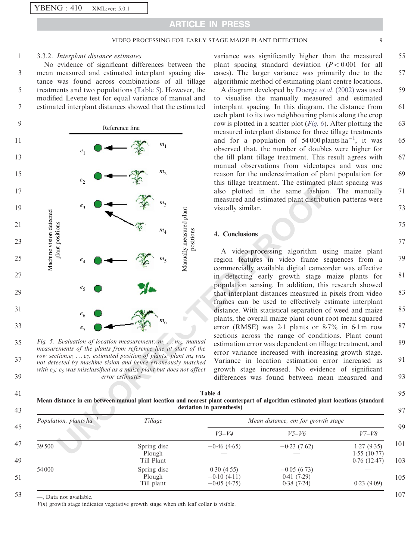## VIDEO PROCESSING FOR EARLY STAGE MAIZE PLANT DETECTION 9

## 3.3.2. Interplant distance estimates

<span id="page-8-0"></span>1

No evidence of significant differences between the mean measured and estimated interplant spacing distance was found across combinations of all tillage treatments and two populations ([Table 5\)](#page-9-0). However, the modified Levene test for equal variance of manual and estimated interplant distances showed that the estimated 3 5 7



35 37 39 Fig. 5. Evaluation of location measurement;  $m_1 \ldots m_6$ , manual measurements of the plants from reference line at start of the row section; $e_1 \ldots e_7$ , estimated position of plants; plant  $m_4$  was not detected by machine vision and hence erroneously matched with  $e_3$ ;  $e_5$  was misclassified as a maize plant but does not affect error estimates

variance was significantly higher than the measured plant spacing standard deviation  $(P < 0.001$  for all cases). The larger variance was primarily due to the algorithmic method of estimating plant centre locations. 55 57

A diagram developed by Doerge et al[. \(2002\)](#page-10-0) was used to visualise the manually measured and estimated interplant spacing. In this diagram, the distance from each plant to its two neighbouring plants along the crop row is plotted in a scatter plot  $(Fiq, 6)$ . After plotting the measured interplant distance for three tillage treatments and for a population of  $54\,000$  plants ha<sup>-1</sup>, it was observed that, the number of doubles were higher for the till plant tillage treatment. This result agrees with manual observations from videotapes and was one reason for the underestimation of plant population for this tillage treatment. The estimated plant spacing was also plotted in the same fashion. The manually measured and estimated plant distribution patterns were visually similar. 59 61 63 65 67 69 71 73

## 4. Conclusions

A video-processing algorithm using maize plant region features in video frame sequences from a commercially available digital camcorder was effective in detecting early growth stage maize plants for population sensing. In addition, this research showed that interplant distances measured in pixels from video frames can be used to effectively estimate interplant distance. With statistical separation of weed and maize plants, the overall maize plant count root mean squared error (RMSE) was 2.1 plants or  $8.7\%$  in 6.1 m row sections across the range of conditions. Plant count estimation error was dependent on tillage treatment, and error variance increased with increasing growth stage. Variance in location estimation error increased as growth stage increased. No evidence of significant differences was found between mean measured and 79 81 83 85 87 89 91 93

| Population, plants $ha^{-1}$ | Tillage               | Mean distance, cm for growth stage |               |                           |
|------------------------------|-----------------------|------------------------------------|---------------|---------------------------|
|                              |                       | $V3 - V4$                          | $V5 - V6$     | $V7 - V8$                 |
| 39 500                       | Spring disc<br>Plough | $-0.46(4.65)$                      | $-0.23(7.62)$ | 1.27(9.35)<br>1.55(10.77) |
|                              | Till Plant            |                                    |               | 0.76(12.47)               |
| 54 000                       | Spring disc           | 0.30(4.55)                         | $-0.05(6.73)$ |                           |
|                              | Plough                | $-0.10(4.11)$                      | 0.41(7.29)    |                           |
|                              | Till plant            | $-0.05(4.75)$                      | 0.38(7.24)    | 0.23(9.09)                |

Table 4 Mean distance in cm between manual plant location and nearest plant counterpart of algorithm estimated plant locations (standard

—, Data not available.

41  $\overline{43}$ 

 $V(n)$  growth stage indicates vegetative growth stage when nth leaf collar is visible.

107

95

75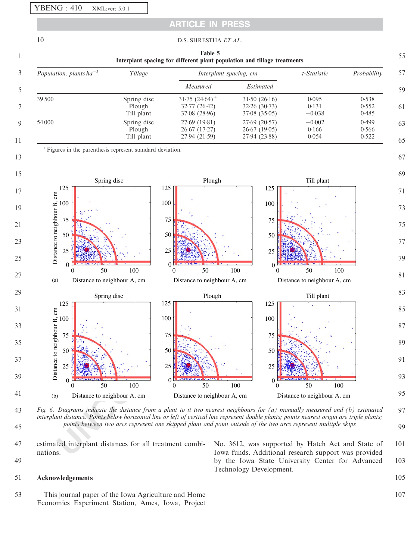<span id="page-9-0"></span>



 interplant distance. Points below horizontal line or left of vertical line represent double plants; points nearest origin are triple plants; points between two arcs represent one skipped plant and point outside of the two arcs represent multiple skips

estimated interplant distances for all treatment combinations. 

No. 3612, was supported by Hatch Act and State of Iowa funds. Additional research support was provided by the Iowa State University Center for Advanced Technology Development. 

# 

Acknowledgements 

This journal paper of the Iowa Agriculture and Home Economics Experiment Station, Ames, Iowa, Project